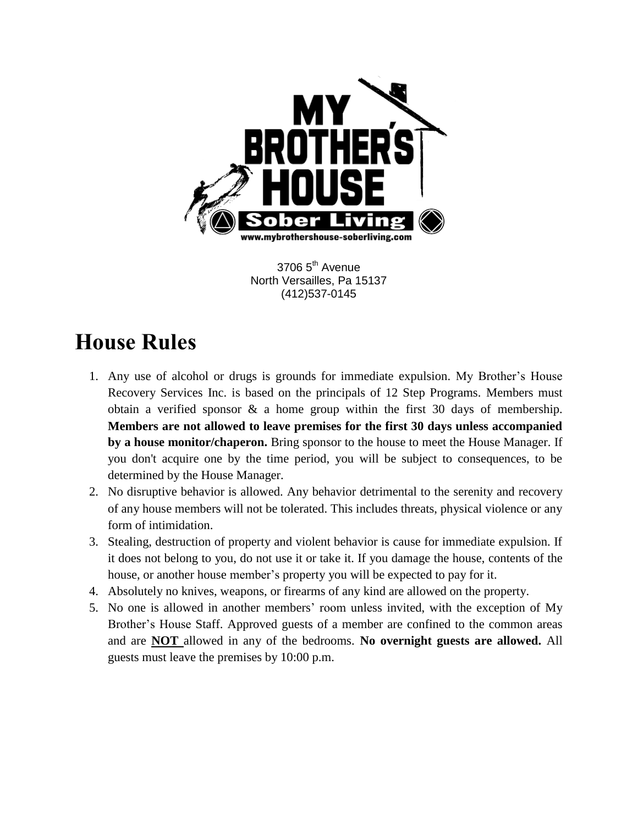

3706 5<sup>th</sup> Avenue North Versailles, Pa 15137 (412)537-0145

## **House Rules**

- 1. Any use of alcohol or drugs is grounds for immediate expulsion. My Brother's House Recovery Services Inc. is based on the principals of 12 Step Programs. Members must obtain a verified sponsor & a home group within the first 30 days of membership. **Members are not allowed to leave premises for the first 30 days unless accompanied by a house monitor/chaperon.** Bring sponsor to the house to meet the House Manager. If you don't acquire one by the time period, you will be subject to consequences, to be determined by the House Manager.
- 2. No disruptive behavior is allowed. Any behavior detrimental to the serenity and recovery of any house members will not be tolerated. This includes threats, physical violence or any form of intimidation.
- 3. Stealing, destruction of property and violent behavior is cause for immediate expulsion. If it does not belong to you, do not use it or take it. If you damage the house, contents of the house, or another house member's property you will be expected to pay for it.
- 4. Absolutely no knives, weapons, or firearms of any kind are allowed on the property.
- 5. No one is allowed in another members' room unless invited, with the exception of My Brother's House Staff. Approved guests of a member are confined to the common areas and are **NOT** allowed in any of the bedrooms. **No overnight guests are allowed.** All guests must leave the premises by 10:00 p.m.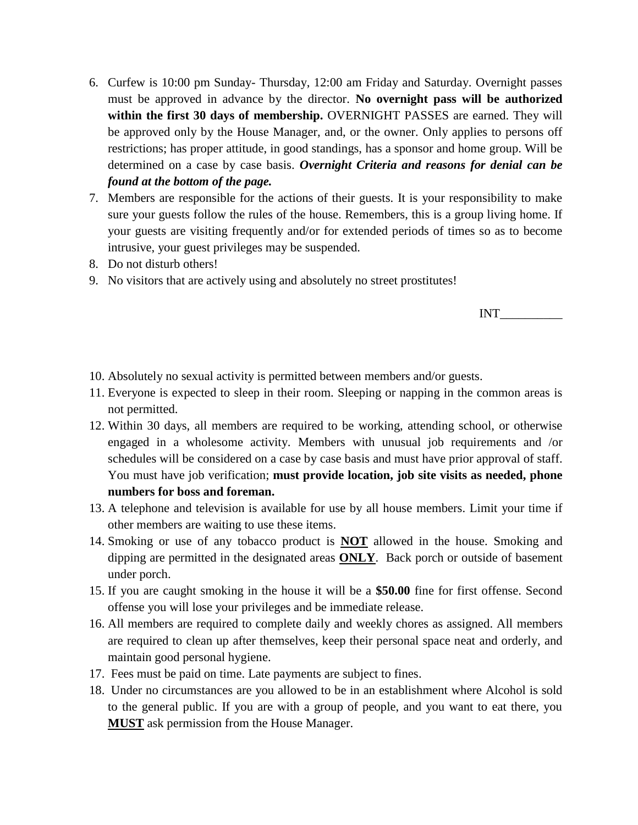- 6. Curfew is 10:00 pm Sunday- Thursday, 12:00 am Friday and Saturday. Overnight passes must be approved in advance by the director. **No overnight pass will be authorized within the first 30 days of membership.** OVERNIGHT PASSES are earned. They will be approved only by the House Manager, and, or the owner. Only applies to persons off restrictions; has proper attitude, in good standings, has a sponsor and home group. Will be determined on a case by case basis. *Overnight Criteria and reasons for denial can be found at the bottom of the page.*
- 7. Members are responsible for the actions of their guests. It is your responsibility to make sure your guests follow the rules of the house. Remembers, this is a group living home. If your guests are visiting frequently and/or for extended periods of times so as to become intrusive, your guest privileges may be suspended.
- 8. Do not disturb others!
- 9. No visitors that are actively using and absolutely no street prostitutes!

INT\_\_\_\_\_\_\_\_\_\_

- 10. Absolutely no sexual activity is permitted between members and/or guests.
- 11. Everyone is expected to sleep in their room. Sleeping or napping in the common areas is not permitted.
- 12. Within 30 days, all members are required to be working, attending school, or otherwise engaged in a wholesome activity. Members with unusual job requirements and /or schedules will be considered on a case by case basis and must have prior approval of staff. You must have job verification; **must provide location, job site visits as needed, phone numbers for boss and foreman.**
- 13. A telephone and television is available for use by all house members. Limit your time if other members are waiting to use these items.
- 14. Smoking or use of any tobacco product is **NOT** allowed in the house. Smoking and dipping are permitted in the designated areas **ONLY**. Back porch or outside of basement under porch.
- 15. If you are caught smoking in the house it will be a **\$50.00** fine for first offense. Second offense you will lose your privileges and be immediate release.
- 16. All members are required to complete daily and weekly chores as assigned. All members are required to clean up after themselves, keep their personal space neat and orderly, and maintain good personal hygiene.
- 17. Fees must be paid on time. Late payments are subject to fines.
- 18. Under no circumstances are you allowed to be in an establishment where Alcohol is sold to the general public. If you are with a group of people, and you want to eat there, you **MUST** ask permission from the House Manager.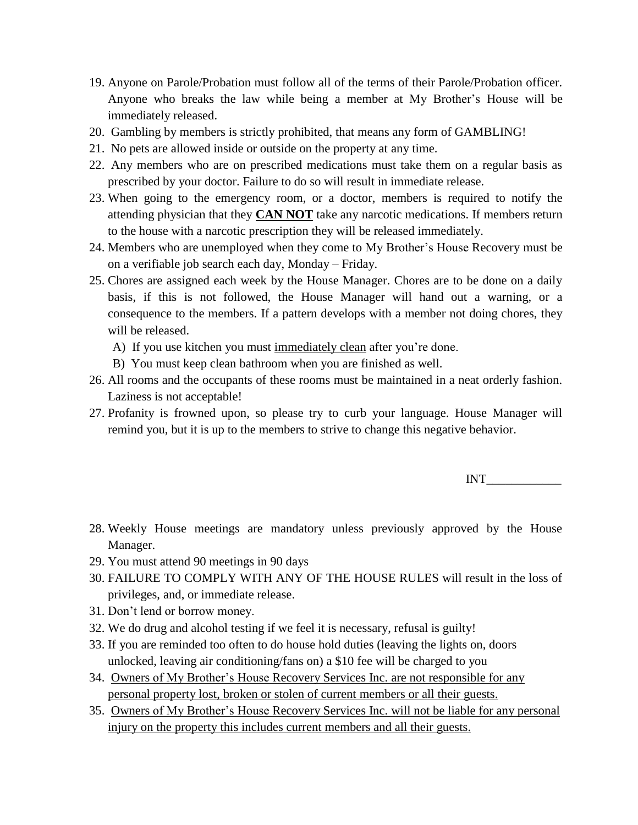- 19. Anyone on Parole/Probation must follow all of the terms of their Parole/Probation officer. Anyone who breaks the law while being a member at My Brother's House will be immediately released.
- 20. Gambling by members is strictly prohibited, that means any form of GAMBLING!
- 21. No pets are allowed inside or outside on the property at any time.
- 22. Any members who are on prescribed medications must take them on a regular basis as prescribed by your doctor. Failure to do so will result in immediate release.
- 23. When going to the emergency room, or a doctor, members is required to notify the attending physician that they **CAN NOT** take any narcotic medications. If members return to the house with a narcotic prescription they will be released immediately.
- 24. Members who are unemployed when they come to My Brother's House Recovery must be on a verifiable job search each day, Monday – Friday.
- 25. Chores are assigned each week by the House Manager. Chores are to be done on a daily basis, if this is not followed, the House Manager will hand out a warning, or a consequence to the members. If a pattern develops with a member not doing chores, they will be released.
	- A) If you use kitchen you must immediately clean after you're done.
	- B) You must keep clean bathroom when you are finished as well.
- 26. All rooms and the occupants of these rooms must be maintained in a neat orderly fashion. Laziness is not acceptable!
- 27. Profanity is frowned upon, so please try to curb your language. House Manager will remind you, but it is up to the members to strive to change this negative behavior.

INT\_\_\_\_\_\_\_\_\_\_\_\_

- 28. Weekly House meetings are mandatory unless previously approved by the House Manager.
- 29. You must attend 90 meetings in 90 days
- 30. FAILURE TO COMPLY WITH ANY OF THE HOUSE RULES will result in the loss of privileges, and, or immediate release.
- 31. Don't lend or borrow money.
- 32. We do drug and alcohol testing if we feel it is necessary, refusal is guilty!
- 33. If you are reminded too often to do house hold duties (leaving the lights on, doors unlocked, leaving air conditioning/fans on) a \$10 fee will be charged to you
- 34. Owners of My Brother's House Recovery Services Inc. are not responsible for any personal property lost, broken or stolen of current members or all their guests.
- 35. Owners of My Brother's House Recovery Services Inc. will not be liable for any personal injury on the property this includes current members and all their guests.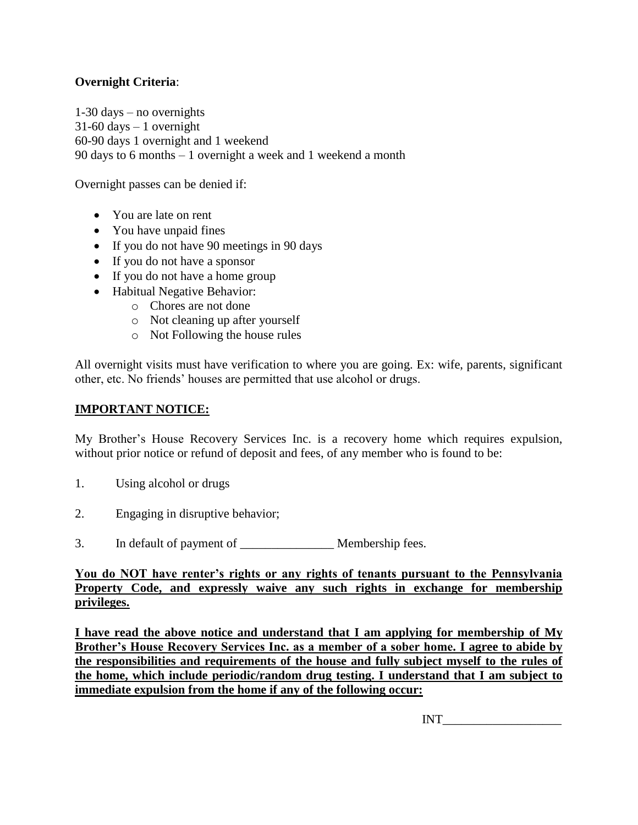## **Overnight Criteria**:

1-30 days – no overnights  $31-60$  days  $-1$  overnight 60-90 days 1 overnight and 1 weekend 90 days to 6 months – 1 overnight a week and 1 weekend a month

Overnight passes can be denied if:

- You are late on rent
- You have unpaid fines
- If you do not have 90 meetings in 90 days
- If you do not have a sponsor
- If you do not have a home group
- Habitual Negative Behavior:
	- o Chores are not done
	- o Not cleaning up after yourself
	- o Not Following the house rules

All overnight visits must have verification to where you are going. Ex: wife, parents, significant other, etc. No friends' houses are permitted that use alcohol or drugs.

## **IMPORTANT NOTICE:**

My Brother's House Recovery Services Inc. is a recovery home which requires expulsion, without prior notice or refund of deposit and fees, of any member who is found to be:

- 1. Using alcohol or drugs
- 2. Engaging in disruptive behavior;
- 3. In default of payment of \_\_\_\_\_\_\_\_\_\_\_\_\_\_\_ Membership fees.

**You do NOT have renter's rights or any rights of tenants pursuant to the Pennsylvania Property Code, and expressly waive any such rights in exchange for membership privileges.** 

**I have read the above notice and understand that I am applying for membership of My Brother's House Recovery Services Inc. as a member of a sober home. I agree to abide by the responsibilities and requirements of the house and fully subject myself to the rules of the home, which include periodic/random drug testing. I understand that I am subject to immediate expulsion from the home if any of the following occur:** 

INT